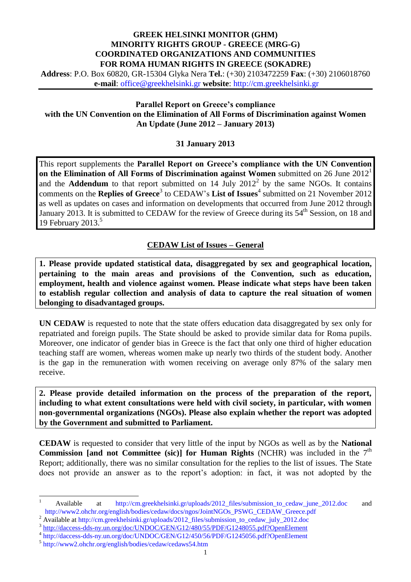## **GREEK HELSINKI MONITOR (GHM) MINORITY RIGHTS GROUP - GREECE (MRG-G) COORDINATED ORGANIZATIONS AND COMMUNITIES FOR ROMA HUMAN RIGHTS IN GREECE (SOKADRE)**

**Address**: P.O. Box 60820, GR-15304 Glyka Nera **Tel.**: (+30) 2103472259 **Fax**: (+30) 2106018760 **e-mail**: [office@greekhelsinki.gr](mailto:office@greekhelsinki.gr) **website**: [http://cm.greekhelsinki.gr](http://www.greekhelsinki.gr/)

**Parallel Report on Greece's compliance with the UN Convention on the Elimination of All Forms of Discrimination against Women An Update (June 2012 – January 2013)**

## **31 January 2013**

This report supplements the **Parallel Report on Greece's compliance with the UN Convention on the Elimination of All Forms of Discrimination against Women** submitted on 26 June 2012 1 and the **Addendum** to that report submitted on  $14$  July  $2012^2$  by the same NGOs. It contains comments on the **Replies of Greece**<sup>3</sup> to CEDAW's **List of Issues**<sup>4</sup> submitted on 21 November 2012 as well as updates on cases and information on developments that occurred from June 2012 through January 2013. It is submitted to CEDAW for the review of Greece during its 54<sup>th</sup> Session, on 18 and 19 February 2013. 5

# **CEDAW List of Issues – General**

**1. Please provide updated statistical data, disaggregated by sex and geographical location, pertaining to the main areas and provisions of the Convention, such as education, employment, health and violence against women. Please indicate what steps have been taken to establish regular collection and analysis of data to capture the real situation of women belonging to disadvantaged groups.** 

**UN CEDAW** is requested to note that the state offers education data disaggregated by sex only for repatriated and foreign pupils. The State should be asked to provide similar data for Roma pupils. Moreover, one indicator of gender bias in Greece is the fact that only one third of higher education teaching staff are women, whereas women make up nearly two thirds of the student body. Another is the gap in the remuneration with women receiving on average only 87% of the salary men receive.

**2. Please provide detailed information on the process of the preparation of the report, including to what extent consultations were held with civil society, in particular, with women non-governmental organizations (NGOs). Please also explain whether the report was adopted by the Government and submitted to Parliament.** 

**CEDAW** is requested to consider that very little of the input by NGOs as well as by the **National Commission [and not Committee (sic)] for Human Rights** (NCHR) was included in the  $7<sup>th</sup>$ Report; additionally, there was no similar consultation for the replies to the list of issues. The State does not provide an answer as to the report's adoption: in fact, it was not adopted by the

Available at http://cm.greekhelsinki.gr/uploads/2012 files/submission to cedaw june 2012.doc and [http://www2.ohchr.org/english/bodies/cedaw/docs/ngos/JointNGOs\\_PSWG\\_CEDAW\\_Greece.pdf](http://www2.ohchr.org/english/bodies/cedaw/docs/ngos/JointNGOs_PSWG_CEDAW_Greece.pdf)

<sup>&</sup>lt;sup>2</sup> Available at [http://cm.greekhelsinki.gr/uploads/2012\\_files/submission\\_to\\_cedaw\\_july\\_2012.doc](http://cm.greekhelsinki.gr/uploads/2012_files/submission_to_cedaw_july_2012.doc)

<sup>&</sup>lt;sup>3</sup> <http://daccess-dds-ny.un.org/doc/UNDOC/GEN/G12/480/55/PDF/G1248055.pdf?OpenElement>

<sup>4</sup> <http://daccess-dds-ny.un.org/doc/UNDOC/GEN/G12/450/56/PDF/G1245056.pdf?OpenElement>

<sup>5</sup> <http://www2.ohchr.org/english/bodies/cedaw/cedaws54.htm>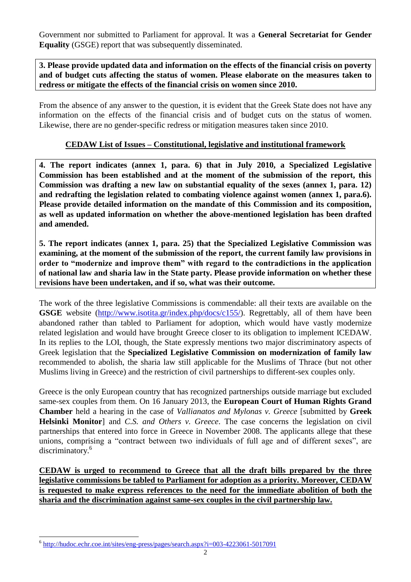Government nor submitted to Parliament for approval. It was a **General Secretariat for Gender Equality** (GSGE) report that was subsequently disseminated.

**3. Please provide updated data and information on the effects of the financial crisis on poverty and of budget cuts affecting the status of women. Please elaborate on the measures taken to redress or mitigate the effects of the financial crisis on women since 2010.** 

From the absence of any answer to the question, it is evident that the Greek State does not have any information on the effects of the financial crisis and of budget cuts on the status of women. Likewise, there are no gender-specific redress or mitigation measures taken since 2010.

## **CEDAW List of Issues – Constitutional, legislative and institutional framework**

**4. The report indicates (annex 1, para. 6) that in July 2010, a Specialized Legislative Commission has been established and at the moment of the submission of the report, this Commission was drafting a new law on substantial equality of the sexes (annex 1, para. 12) and redrafting the legislation related to combating violence against women (annex 1, para.6). Please provide detailed information on the mandate of this Commission and its composition, as well as updated information on whether the above-mentioned legislation has been drafted and amended.** 

**5. The report indicates (annex 1, para. 25) that the Specialized Legislative Commission was examining, at the moment of the submission of the report, the current family law provisions in order to "modernize and improve them" with regard to the contradictions in the application of national law and sharia law in the State party. Please provide information on whether these revisions have been undertaken, and if so, what was their outcome.** 

The work of the three legislative Commissions is commendable: all their texts are available on the **GSGE** website [\(http://www.isotita.gr/index.php/docs/c155/\)](http://www.isotita.gr/index.php/docs/c155/). Regrettably, all of them have been abandoned rather than tabled to Parliament for adoption, which would have vastly modernize related legislation and would have brought Greece closer to its obligation to implement ICEDAW. In its replies to the LOI, though, the State expressly mentions two major discriminatory aspects of Greek legislation that the **Specialized Legislative Commission on modernization of family law**  recommended to abolish, the sharia law still applicable for the Muslims of Thrace (but not other Muslims living in Greece) and the restriction of civil partnerships to different-sex couples only.

Greece is the only European country that has recognized partnerships outside marriage but excluded same-sex couples from them. On 16 January 2013, the **European Court of Human Rights Grand Chamber** held a hearing in the case of *Vallianatos and Mylonas v. Greece* [submitted by **Greek Helsinki Monitor**] and *C.S. and Others v. Greece*. The case concerns the legislation on civil partnerships that entered into force in Greece in November 2008. The applicants allege that these unions, comprising a "contract between two individuals of full age and of different sexes", are discriminatory.<sup>6</sup>

**CEDAW is urged to recommend to Greece that all the draft bills prepared by the three legislative commissions be tabled to Parliament for adoption as a priority. Moreover, CEDAW is requested to make express references to the need for the immediate abolition of both the sharia and the discrimination against same-sex couples in the civil partnership law.** 

 6 <http://hudoc.echr.coe.int/sites/eng-press/pages/search.aspx?i=003-4223061-5017091>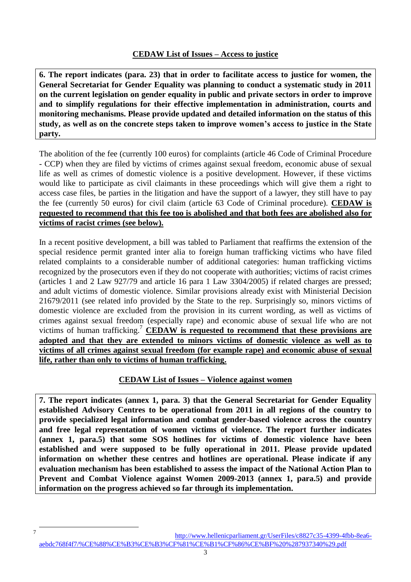**6. The report indicates (para. 23) that in order to facilitate access to justice for women, the General Secretariat for Gender Equality was planning to conduct a systematic study in 2011 on the current legislation on gender equality in public and private sectors in order to improve and to simplify regulations for their effective implementation in administration, courts and monitoring mechanisms. Please provide updated and detailed information on the status of this study, as well as on the concrete steps taken to improve women's access to justice in the State party.** 

The abolition of the fee (currently 100 euros) for complaints (article 46 Code of Criminal Procedure - CCP) when they are filed by victims of crimes against sexual freedom, economic abuse of sexual life as well as crimes of domestic violence is a positive development. However, if these victims would like to participate as civil claimants in these proceedings which will give them a right to access case files, be parties in the litigation and have the support of a lawyer, they still have to pay the fee (currently 50 euros) for civil claim (article 63 Code of Criminal procedure). **CEDAW is requested to recommend that this fee too is abolished and that both fees are abolished also for victims of racist crimes (see below).**

In a recent positive development, a bill was tabled to Parliament that reaffirms the extension of the special residence permit granted inter alia to foreign human trafficking victims who have filed related complaints to a considerable number of additional categories: human trafficking victims recognized by the prosecutors even if they do not cooperate with authorities; victims of racist crimes (articles 1 and 2 Law 927/79 and article 16 para 1 Law 3304/2005) if related charges are pressed; and adult victims of domestic violence. Similar provisions already exist with Ministerial Decision 21679/2011 (see related info provided by the State to the rep. Surprisingly so, minors victims of domestic violence are excluded from the provision in its current wording, as well as victims of crimes against sexual freedom (especially rape) and economic abuse of sexual life who are not victims of human trafficking. <sup>7</sup> **CEDAW is requested to recommend that these provisions are adopted and that they are extended to minors victims of domestic violence as well as to victims of all crimes against sexual freedom (for example rape) and economic abuse of sexual life, rather than only to victims of human trafficking.**

# **CEDAW List of Issues – Violence against women**

**7. The report indicates (annex 1, para. 3) that the General Secretariat for Gender Equality established Advisory Centres to be operational from 2011 in all regions of the country to provide specialized legal information and combat gender-based violence across the country and free legal representation of women victims of violence. The report further indicates (annex 1, para.5) that some SOS hotlines for victims of domestic violence have been established and were supposed to be fully operational in 2011. Please provide updated information on whether these centres and hotlines are operational. Please indicate if any evaluation mechanism has been established to assess the impact of the National Action Plan to Prevent and Combat Violence against Women 2009-2013 (annex 1, para.5) and provide information on the progress achieved so far through its implementation.** 

7 [http://www.hellenicparliament.gr/UserFiles/c8827c35-4399-4fbb-8ea6](http://www.hellenicparliament.gr/UserFiles/c8827c35-4399-4fbb-8ea6-aebdc768f4f7/%CE%88%CE%B3%CE%B3%CF%81%CE%B1%CF%86%CE%BF%20%287937340%29.pdf) [aebdc768f4f7/%CE%88%CE%B3%CE%B3%CF%81%CE%B1%CF%86%CE%BF%20%287937340%29.pdf](http://www.hellenicparliament.gr/UserFiles/c8827c35-4399-4fbb-8ea6-aebdc768f4f7/%CE%88%CE%B3%CE%B3%CF%81%CE%B1%CF%86%CE%BF%20%287937340%29.pdf)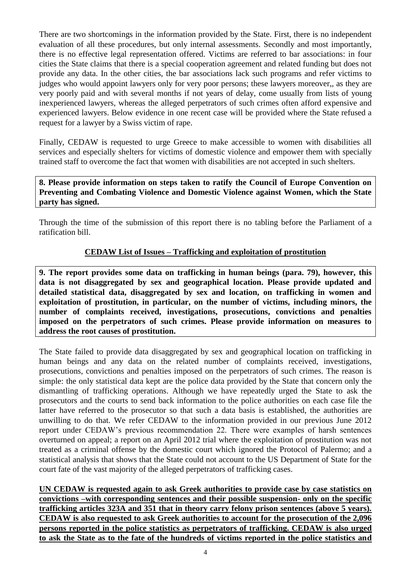There are two shortcomings in the information provided by the State. First, there is no independent evaluation of all these procedures, but only internal assessments. Secondly and most importantly, there is no effective legal representation offered. Victims are referred to bar associations: in four cities the State claims that there is a special cooperation agreement and related funding but does not provide any data. In the other cities, the bar associations lack such programs and refer victims to judges who would appoint lawyers only for very poor persons; these lawyers moreover,, as they are very poorly paid and with several months if not years of delay, come usually from lists of young inexperienced lawyers, whereas the alleged perpetrators of such crimes often afford expensive and experienced lawyers. Below evidence in one recent case will be provided where the State refused a request for a lawyer by a Swiss victim of rape.

Finally, CEDAW is requested to urge Greece to make accessible to women with disabilities all services and especially shelters for victims of domestic violence and empower them with specially trained staff to overcome the fact that women with disabilities are not accepted in such shelters.

**8. Please provide information on steps taken to ratify the Council of Europe Convention on Preventing and Combating Violence and Domestic Violence against Women, which the State party has signed.** 

Through the time of the submission of this report there is no tabling before the Parliament of a ratification bill.

# **CEDAW List of Issues – Trafficking and exploitation of prostitution**

**9. The report provides some data on trafficking in human beings (para. 79), however, this data is not disaggregated by sex and geographical location. Please provide updated and detailed statistical data, disaggregated by sex and location, on trafficking in women and exploitation of prostitution, in particular, on the number of victims, including minors, the number of complaints received, investigations, prosecutions, convictions and penalties imposed on the perpetrators of such crimes. Please provide information on measures to address the root causes of prostitution.** 

The State failed to provide data disaggregated by sex and geographical location on trafficking in human beings and any data on the related number of complaints received, investigations, prosecutions, convictions and penalties imposed on the perpetrators of such crimes. The reason is simple: the only statistical data kept are the police data provided by the State that concern only the dismantling of trafficking operations. Although we have repeatedly urged the State to ask the prosecutors and the courts to send back information to the police authorities on each case file the latter have referred to the prosecutor so that such a data basis is established, the authorities are unwilling to do that. We refer CEDAW to the information provided in our previous June 2012 report under CEDAW's previous recommendation 22. There were examples of harsh sentences overturned on appeal; a report on an April 2012 trial where the exploitation of prostitution was not treated as a criminal offense by the domestic court which ignored the Protocol of Palermo; and a statistical analysis that shows that the State could not account to the US Department of State for the court fate of the vast majority of the alleged perpetrators of trafficking cases.

**UN CEDAW is requested again to ask Greek authorities to provide case by case statistics on convictions –with corresponding sentences and their possible suspension- only on the specific trafficking articles 323A and 351 that in theory carry felony prison sentences (above 5 years). CEDAW is also requested to ask Greek authorities to account for the prosecution of the 2,096 persons reported in the police statistics as perpetrators of trafficking. CEDAW is also urged to ask the State as to the fate of the hundreds of victims reported in the police statistics and**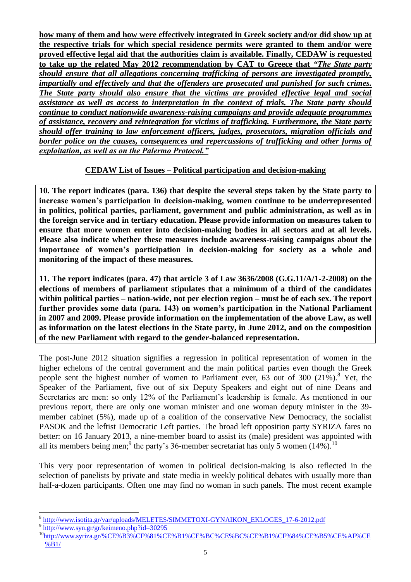**how many of them and how were effectively integrated in Greek society and/or did show up at the respective trials for which special residence permits were granted to them and/or were proved effective legal aid that the authorities claim is available. Finally, CEDAW is requested to take up the related May 2012 recommendation by CAT to Greece that** *"The State party should ensure that all allegations concerning trafficking of persons are investigated promptly, impartially and effectively and that the offenders are prosecuted and punished for such crimes. The State party should also ensure that the victims are provided effective legal and social assistance as well as access to interpretation in the context of trials. The State party should continue to conduct nationwide awareness-raising campaigns and provide adequate programmes of assistance, recovery and reintegration for victims of trafficking. Furthermore, the State party should offer training to law enforcement officers, judges, prosecutors, migration officials and border police on the causes, consequences and repercussions of trafficking and other forms of exploitation, as well as on the Palermo Protocol."*

# **CEDAW List of Issues – Political participation and decision-making**

**10. The report indicates (para. 136) that despite the several steps taken by the State party to increase women's participation in decision-making, women continue to be underrepresented in politics, political parties, parliament, government and public administration, as well as in the foreign service and in tertiary education. Please provide information on measures taken to ensure that more women enter into decision-making bodies in all sectors and at all levels. Please also indicate whether these measures include awareness-raising campaigns about the importance of women's participation in decision-making for society as a whole and monitoring of the impact of these measures.** 

**11. The report indicates (para. 47) that article 3 of Law 3636/2008 (G.G.11/A/1-2-2008) on the elections of members of parliament stipulates that a minimum of a third of the candidates within political parties – nation-wide, not per election region – must be of each sex. The report further provides some data (para. 143) on women's participation in the National Parliament in 2007 and 2009. Please provide information on the implementation of the above Law, as well as information on the latest elections in the State party, in June 2012, and on the composition of the new Parliament with regard to the gender-balanced representation.** 

The post-June 2012 situation signifies a regression in political representation of women in the higher echelons of the central government and the main political parties even though the Greek people sent the highest number of women to Parliament ever,  $63$  out of  $300$  ( $21\%$ ).<sup>8</sup> Yet, the Speaker of the Parliament, five out of six Deputy Speakers and eight out of nine Deans and Secretaries are men: so only 12% of the Parliament's leadership is female. As mentioned in our previous report, there are only one woman minister and one woman deputy minister in the 39 member cabinet (5%), made up of a coalition of the conservative New Democracy, the socialist PASOK and the leftist Democratic Left parties. The broad left opposition party SYRIZA fares no better: on 16 January 2013, a nine-member board to assist its (male) president was appointed with all its members being men;<sup>9</sup> the party's 36-member secretariat has only 5 women (14%).<sup>10</sup>

This very poor representation of women in political decision-making is also reflected in the selection of panelists by private and state media in weekly political debates with usually more than half-a-dozen participants. Often one may find no woman in such panels. The most recent example

<sup>&</sup>lt;sup>8</sup><br>[http://www.isotita.gr/var/uploads/MELETES/SIMMETOXI-GYNAIKON\\_EKLOGES\\_17-6-2012.pdf](http://www.isotita.gr/var/uploads/MELETES/SIMMETOXI-GYNAIKON_EKLOGES_17-6-2012.pdf)

<sup>&</sup>lt;sup>9</sup> <http://www.syn.gr/gr/keimeno.php?id=30295>

<sup>&</sup>lt;sup>10</sup>[http://www.syriza.gr/%CE%B3%CF%81%CE%B1%CE%BC%CE%BC%CE%B1%CF%84%CE%B5%CE%AF%CE](http://www.syriza.gr/%CE%B3%CF%81%CE%B1%CE%BC%CE%BC%CE%B1%CF%84%CE%B5%CE%AF%CE%B1/) [%B1/](http://www.syriza.gr/%CE%B3%CF%81%CE%B1%CE%BC%CE%BC%CE%B1%CF%84%CE%B5%CE%AF%CE%B1/)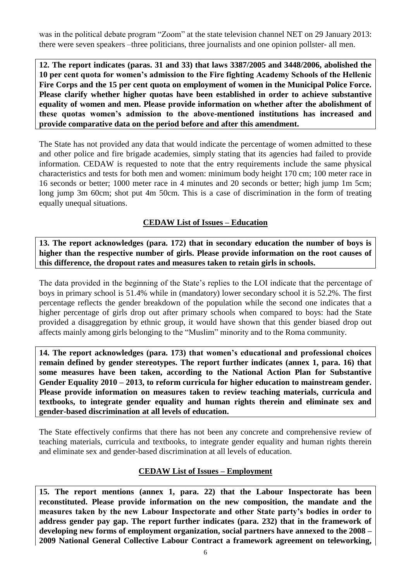was in the political debate program "Zoom" at the state television channel NET on 29 January 2013: there were seven speakers –three politicians, three journalists and one opinion pollster- all men.

**12. The report indicates (paras. 31 and 33) that laws 3387/2005 and 3448/2006, abolished the 10 per cent quota for women's admission to the Fire fighting Academy Schools of the Hellenic Fire Corps and the 15 per cent quota on employment of women in the Municipal Police Force. Please clarify whether higher quotas have been established in order to achieve substantive equality of women and men. Please provide information on whether after the abolishment of these quotas women's admission to the above-mentioned institutions has increased and provide comparative data on the period before and after this amendment.**

The State has not provided any data that would indicate the percentage of women admitted to these and other police and fire brigade academies, simply stating that its agencies had failed to provide information. CEDAW is requested to note that the entry requirements include the same physical characteristics and tests for both men and women: minimum body height 170 cm; 100 meter race in 16 seconds or better; 1000 meter race in 4 minutes and 20 seconds or better; high jump 1m 5cm; long jump 3m 60cm; shot put 4m 50cm. This is a case of discrimination in the form of treating equally unequal situations.

## **CEDAW List of Issues – Education**

**13. The report acknowledges (para. 172) that in secondary education the number of boys is higher than the respective number of girls. Please provide information on the root causes of this difference, the dropout rates and measures taken to retain girls in schools.** 

The data provided in the beginning of the State's replies to the LOI indicate that the percentage of boys in primary school is 51.4% while in (mandatory) lower secondary school it is 52.2%. The first percentage reflects the gender breakdown of the population while the second one indicates that a higher percentage of girls drop out after primary schools when compared to boys: had the State provided a disaggregation by ethnic group, it would have shown that this gender biased drop out affects mainly among girls belonging to the "Muslim" minority and to the Roma community.

**14. The report acknowledges (para. 173) that women's educational and professional choices remain defined by gender stereotypes. The report further indicates (annex 1, para. 16) that some measures have been taken, according to the National Action Plan for Substantive Gender Equality 2010 – 2013, to reform curricula for higher education to mainstream gender. Please provide information on measures taken to review teaching materials, curricula and textbooks, to integrate gender equality and human rights therein and eliminate sex and gender-based discrimination at all levels of education.** 

The State effectively confirms that there has not been any concrete and comprehensive review of teaching materials, curricula and textbooks, to integrate gender equality and human rights therein and eliminate sex and gender-based discrimination at all levels of education.

## **CEDAW List of Issues – Employment**

**15. The report mentions (annex 1, para. 22) that the Labour Inspectorate has been reconstituted. Please provide information on the new composition, the mandate and the measures taken by the new Labour Inspectorate and other State party's bodies in order to address gender pay gap. The report further indicates (para. 232) that in the framework of developing new forms of employment organization, social partners have annexed to the 2008 – 2009 National General Collective Labour Contract a framework agreement on teleworking,**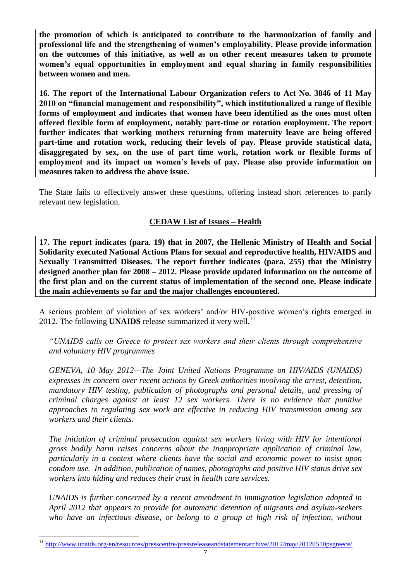**the promotion of which is anticipated to contribute to the harmonization of family and professional life and the strengthening of women's employability. Please provide information on the outcomes of this initiative, as well as on other recent measures taken to promote women's equal opportunities in employment and equal sharing in family responsibilities between women and men.** 

**16. The report of the International Labour Organization refers to Act No. 3846 of 11 May 2010 on "financial management and responsibility", which institutionalized a range of flexible forms of employment and indicates that women have been identified as the ones most often offered flexible form of employment, notably part-time or rotation employment. The report further indicates that working mothers returning from maternity leave are being offered part-time and rotation work, reducing their levels of pay. Please provide statistical data, disaggregated by sex, on the use of part time work, rotation work or flexible forms of employment and its impact on women's levels of pay. Please also provide information on measures taken to address the above issue.** 

The State fails to effectively answer these questions, offering instead short references to partly relevant new legislation.

# **CEDAW List of Issues – Health**

**17. The report indicates (para. 19) that in 2007, the Hellenic Ministry of Health and Social Solidarity executed National Actions Plans for sexual and reproductive health, HIV/AIDS and Sexually Transmitted Diseases. The report further indicates (para. 255) that the Ministry designed another plan for 2008 – 2012. Please provide updated information on the outcome of the first plan and on the current status of implementation of the second one. Please indicate the main achievements so far and the major challenges encountered.** 

A serious problem of violation of sex workers' and/or HIV-positive women's rights emerged in 2012. The following **UNAIDS** release summarized it very well.<sup>11</sup>

*"UNAIDS calls on Greece to protect sex workers and their clients through comprehensive and voluntary HIV programmes*

*GENEVA, 10 May 2012—The Joint United Nations Programme on HIV/AIDS (UNAIDS) expresses its concern over recent actions by Greek authorities involving the arrest, detention, mandatory HIV testing, publication of photographs and personal details, and pressing of criminal charges against at least 12 sex workers. There is no evidence that punitive approaches to regulating sex work are effective in reducing HIV transmission among sex workers and their clients.*

*The initiation of criminal prosecution against sex workers living with HIV for intentional gross bodily harm raises concerns about the inappropriate application of criminal law, particularly in a context where clients have the social and economic power to insist upon condom use. In addition, publication of names, photographs and positive HIV status drive sex workers into hiding and reduces their trust in health care services.*

*UNAIDS is further concerned by a recent amendment to immigration legislation adopted in April 2012 that appears to provide for automatic detention of migrants and asylum-seekers who have an infectious disease, or belong to a group at high risk of infection, without* 

<sup>11</sup> <http://www.unaids.org/en/resources/presscentre/pressreleaseandstatementarchive/2012/may/20120510psgreece/>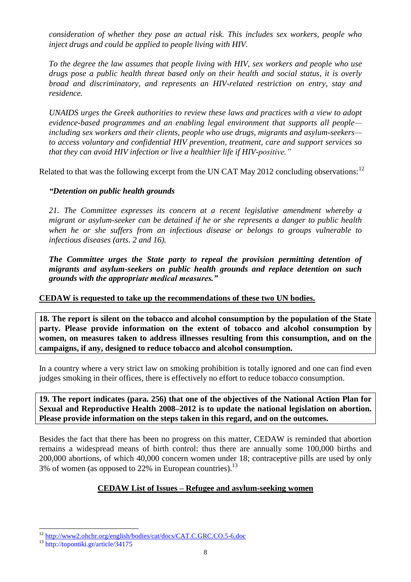*consideration of whether they pose an actual risk. This includes sex workers, people who inject drugs and could be applied to people living with HIV.*

*To the degree the law assumes that people living with HIV, sex workers and people who use drugs pose a public health threat based only on their health and social status, it is overly broad and discriminatory, and represents an HIV-related restriction on entry, stay and residence.*

*UNAIDS urges the Greek authorities to review these laws and practices with a view to adopt evidence-based programmes and an enabling legal environment that supports all people including sex workers and their clients, people who use drugs, migrants and asylum-seekers to access voluntary and confidential HIV prevention, treatment, care and support services so that they can avoid HIV infection or live a healthier life if HIV-positive."*

Related to that was the following excerpt from the UN CAT May 2012 concluding observations:  $12$ 

## *"Detention on public health grounds*

*21. The Committee expresses its concern at a recent legislative amendment whereby a migrant or asylum-seeker can be detained if he or she represents a danger to public health when he or she suffers from an infectious disease or belongs to groups vulnerable to infectious diseases (arts. 2 and 16).* 

*The Committee urges the State party to repeal the provision permitting detention of migrants and asylum-seekers on public health grounds and replace detention on such grounds with the appropriate medical measures."* 

### **CEDAW is requested to take up the recommendations of these two UN bodies.**

**18. The report is silent on the tobacco and alcohol consumption by the population of the State party. Please provide information on the extent of tobacco and alcohol consumption by women, on measures taken to address illnesses resulting from this consumption, and on the campaigns, if any, designed to reduce tobacco and alcohol consumption.** 

In a country where a very strict law on smoking prohibition is totally ignored and one can find even judges smoking in their offices, there is effectively no effort to reduce tobacco consumption.

**19. The report indicates (para. 256) that one of the objectives of the National Action Plan for Sexual and Reproductive Health 2008–2012 is to update the national legislation on abortion. Please provide information on the steps taken in this regard, and on the outcomes.** 

Besides the fact that there has been no progress on this matter, CEDAW is reminded that abortion remains a widespread means of birth control: thus there are annually some 100,000 births and 200,000 abortions, of which 40,000 concern women under 18; contraceptive pills are used by only 3% of women (as opposed to 22% in European countries).<sup>13</sup>

# **CEDAW List of Issues – Refugee and asylum-seeking women**

 $\overline{a}$ <sup>12</sup> <http://www2.ohchr.org/english/bodies/cat/docs/CAT.C.GRC.CO.5-6.doc>

<sup>13</sup> <http://topontiki.gr/article/34175>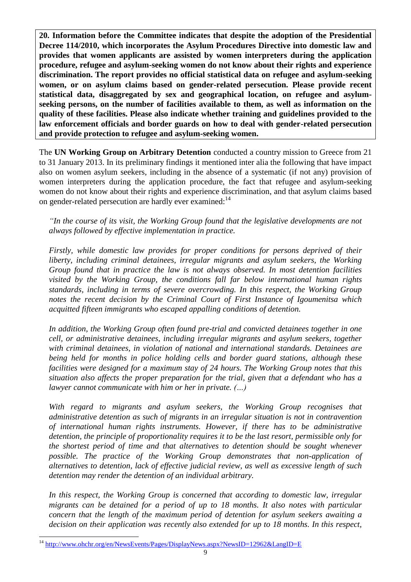**20. Information before the Committee indicates that despite the adoption of the Presidential Decree 114/2010, which incorporates the Asylum Procedures Directive into domestic law and provides that women applicants are assisted by women interpreters during the application procedure, refugee and asylum-seeking women do not know about their rights and experience discrimination. The report provides no official statistical data on refugee and asylum-seeking women, or on asylum claims based on gender-related persecution. Please provide recent statistical data, disaggregated by sex and geographical location, on refugee and asylumseeking persons, on the number of facilities available to them, as well as information on the quality of these facilities. Please also indicate whether training and guidelines provided to the law enforcement officials and border guards on how to deal with gender-related persecution and provide protection to refugee and asylum-seeking women.**

The **UN Working Group on Arbitrary Detention** conducted a country mission to Greece from 21 to 31 January 2013. In its preliminary findings it mentioned inter alia the following that have impact also on women asylum seekers, including in the absence of a systematic (if not any) provision of women interpreters during the application procedure, the fact that refugee and asylum-seeking women do not know about their rights and experience discrimination, and that asylum claims based on gender-related persecution are hardly ever examined:<sup>14</sup>

*"In the course of its visit, the Working Group found that the legislative developments are not always followed by effective implementation in practice.*

*Firstly, while domestic law provides for proper conditions for persons deprived of their liberty, including criminal detainees, irregular migrants and asylum seekers, the Working Group found that in practice the law is not always observed. In most detention facilities visited by the Working Group, the conditions fall far below international human rights standards, including in terms of severe overcrowding. In this respect, the Working Group notes the recent decision by the Criminal Court of First Instance of Igoumenitsa which acquitted fifteen immigrants who escaped appalling conditions of detention.*

*In addition, the Working Group often found pre-trial and convicted detainees together in one cell, or administrative detainees, including irregular migrants and asylum seekers, together with criminal detainees, in violation of national and international standards. Detainees are being held for months in police holding cells and border guard stations, although these facilities were designed for a maximum stay of 24 hours. The Working Group notes that this situation also affects the proper preparation for the trial, given that a defendant who has a lawyer cannot communicate with him or her in private. (…)*

*With regard to migrants and asylum seekers, the Working Group recognises that administrative detention as such of migrants in an irregular situation is not in contravention of international human rights instruments. However, if there has to be administrative detention, the principle of proportionality requires it to be the last resort, permissible only for the shortest period of time and that alternatives to detention should be sought whenever possible. The practice of the Working Group demonstrates that non-application of alternatives to detention, lack of effective judicial review, as well as excessive length of such detention may render the detention of an individual arbitrary.*

*In this respect, the Working Group is concerned that according to domestic law, irregular migrants can be detained for a period of up to 18 months. It also notes with particular concern that the length of the maximum period of detention for asylum seekers awaiting a decision on their application was recently also extended for up to 18 months. In this respect,* 

 $\overline{a}$ <http://www.ohchr.org/en/NewsEvents/Pages/DisplayNews.aspx?NewsID=12962&LangID=E>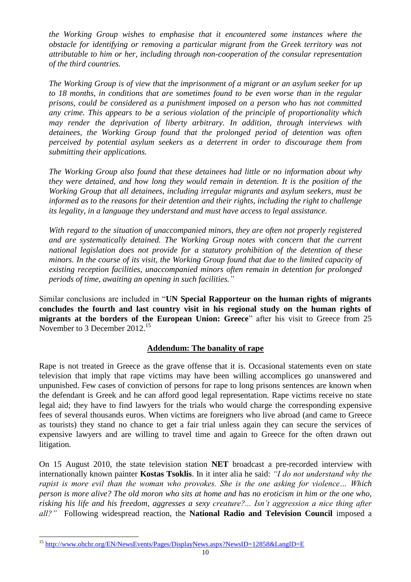*the Working Group wishes to emphasise that it encountered some instances where the obstacle for identifying or removing a particular migrant from the Greek territory was not attributable to him or her, including through non-cooperation of the consular representation of the third countries.* 

*The Working Group is of view that the imprisonment of a migrant or an asylum seeker for up to 18 months, in conditions that are sometimes found to be even worse than in the regular prisons, could be considered as a punishment imposed on a person who has not committed any crime. This appears to be a serious violation of the principle of proportionality which may render the deprivation of liberty arbitrary. In addition, through interviews with detainees, the Working Group found that the prolonged period of detention was often perceived by potential asylum seekers as a deterrent in order to discourage them from submitting their applications.*

*The Working Group also found that these detainees had little or no information about why they were detained, and how long they would remain in detention. It is the position of the Working Group that all detainees, including irregular migrants and asylum seekers, must be informed as to the reasons for their detention and their rights, including the right to challenge its legality, in a language they understand and must have access to legal assistance.* 

*With regard to the situation of unaccompanied minors, they are often not properly registered and are systematically detained. The Working Group notes with concern that the current national legislation does not provide for a statutory prohibition of the detention of these minors. In the course of its visit, the Working Group found that due to the limited capacity of existing reception facilities, unaccompanied minors often remain in detention for prolonged periods of time, awaiting an opening in such facilities."*

Similar conclusions are included in "**UN Special Rapporteur on the human rights of migrants concludes the fourth and last country visit in his regional study on the human rights of migrants at the borders of the European Union: Greece**" after his visit to Greece from 25 November to 3 December 2012.<sup>15</sup>

## **Addendum: The banality of rape**

Rape is not treated in Greece as the grave offense that it is. Occasional statements even on state television that imply that rape victims may have been willing accomplices go unanswered and unpunished. Few cases of conviction of persons for rape to long prisons sentences are known when the defendant is Greek and he can afford good legal representation. Rape victims receive no state legal aid; they have to find lawyers for the trials who would charge the corresponding expensive fees of several thousands euros. When victims are foreigners who live abroad (and came to Greece as tourists) they stand no chance to get a fair trial unless again they can secure the services of expensive lawyers and are willing to travel time and again to Greece for the often drawn out litigation.

On 15 August 2010, the state television station **NET** broadcast a pre-recorded interview with internationally known painter **Kostas Tsoklis**. In it inter alia he said: *"I do not understand why the rapist is more evil than the woman who provokes. She is the one asking for violence… Which person is more alive? The old moron who sits at home and has no eroticism in him or the one who, risking his life and his freedom, aggresses a sexy creature?... Isn"t aggression a nice thing after all?"* Following widespread reaction, the **National Radio and Television Council** imposed a

 $\overline{a}$ <sup>15</sup> <http://www.ohchr.org/EN/NewsEvents/Pages/DisplayNews.aspx?NewsID=12858&LangID=E>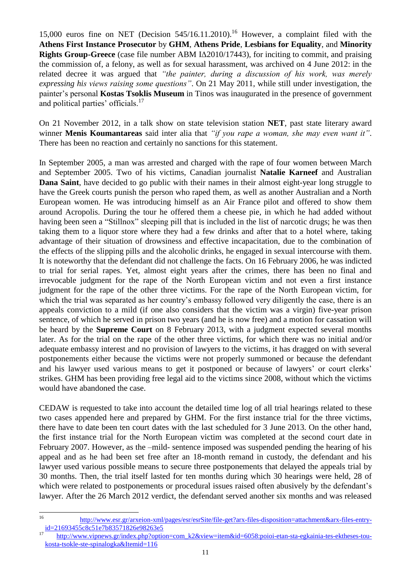15,000 euros fine on NET (Decision  $545/16.11.2010$ ).<sup>16</sup> However, a complaint filed with the **Athens First Instance Prosecutor** by **GHM**, **Athens Pride**, **Lesbians for Equality**, and **Minority Rights Group-Greece** (case file number ABM ΙΔ2010/17443), for inciting to commit, and praising the commission of, a felony, as well as for sexual harassment, was archived on 4 June 2012: in the related decree it was argued that *"the painter, during a discussion of his work, was merely expressing his views raising some questions"*. On 21 May 2011, while still under investigation, the painter's personal **Kostas Tsoklis Museum** in Tinos was inaugurated in the presence of government and political parties' officials.<sup>17</sup>

On 21 November 2012, in a talk show on state television station **NET**, past state literary award winner **Menis Koumantareas** said inter alia that *"if you rape a woman, she may even want it"*. There has been no reaction and certainly no sanctions for this statement.

In September 2005, a man was arrested and charged with the rape of four women between March and September 2005. Two of his victims, Canadian journalist **Natalie Karneef** and Australian **Dana Saint**, have decided to go public with their names in their almost eight-year long struggle to have the Greek courts punish the person who raped them, as well as another Australian and a North European women. He was introducing himself as an Air France pilot and offered to show them around Acropolis. During the tour he offered them a cheese pie, in which he had added without having been seen a "Stillnox" sleeping pill that is included in the list of narcotic drugs; he was then taking them to a liquor store where they had a few drinks and after that to a hotel where, taking advantage of their situation of drowsiness and effective incapacitation, due to the combination of the effects of the slipping pills and the alcoholic drinks, he engaged in sexual intercourse with them. It is noteworthy that the defendant did not challenge the facts. On 16 February 2006, he was indicted to trial for serial rapes. Yet, almost eight years after the crimes, there has been no final and irrevocable judgment for the rape of the North European victim and not even a first instance judgment for the rape of the other three victims. For the rape of the North European victim, for which the trial was separated as her country's embassy followed very diligently the case, there is an appeals conviction to a mild (if one also considers that the victim was a virgin) five-year prison sentence, of which he served in prison two years (and he is now free) and a motion for cassation will be heard by the **Supreme Court** on 8 February 2013, with a judgment expected several months later. As for the trial on the rape of the other three victims, for which there was no initial and/or adequate embassy interest and no provision of lawyers to the victims, it has dragged on with several postponements either because the victims were not properly summoned or because the defendant and his lawyer used various means to get it postponed or because of lawyers' or court clerks' strikes. GHM has been providing free legal aid to the victims since 2008, without which the victims would have abandoned the case.

CEDAW is requested to take into account the detailed time log of all trial hearings related to these two cases appended here and prepared by GHM. For the first instance trial for the three victims, there have to date been ten court dates with the last scheduled for 3 June 2013. On the other hand, the first instance trial for the North European victim was completed at the second court date in February 2007. However, as the –mild- sentence imposed was suspended pending the hearing of his appeal and as he had been set free after an 18-month remand in custody, the defendant and his lawyer used various possible means to secure three postponements that delayed the appeals trial by 30 months. Then, the trial itself lasted for ten months during which 30 hearings were held, 28 of which were related to postponements or procedural issues raised often abusively by the defendant's lawyer. After the 26 March 2012 verdict, the defendant served another six months and was released

 $16$ <sup>16</sup> [http://www.esr.gr/arxeion-xml/pages/esr/esrSite/file-get?arx-files-disposition=attachment&arx-files-entry](http://www.esr.gr/arxeion-xml/pages/esr/esrSite/file-get?arx-files-disposition=attachment&arx-files-entry-id=21693455c8c51e7b83571826e98263e5)[id=21693455c8c51e7b83571826e98263e5](http://www.esr.gr/arxeion-xml/pages/esr/esrSite/file-get?arx-files-disposition=attachment&arx-files-entry-id=21693455c8c51e7b83571826e98263e5)

<sup>17</sup> [http://www.vipnews.gr/index.php?option=com\\_k2&view=item&id=6058:poioi-etan-sta-egkainia-tes-ektheses-tou](http://www.vipnews.gr/index.php?option=com_k2&view=item&id=6058:poioi-etan-sta-egkainia-tes-ektheses-tou-kosta-tsokle-ste-spinalogka&Itemid=116)[kosta-tsokle-ste-spinalogka&Itemid=116](http://www.vipnews.gr/index.php?option=com_k2&view=item&id=6058:poioi-etan-sta-egkainia-tes-ektheses-tou-kosta-tsokle-ste-spinalogka&Itemid=116)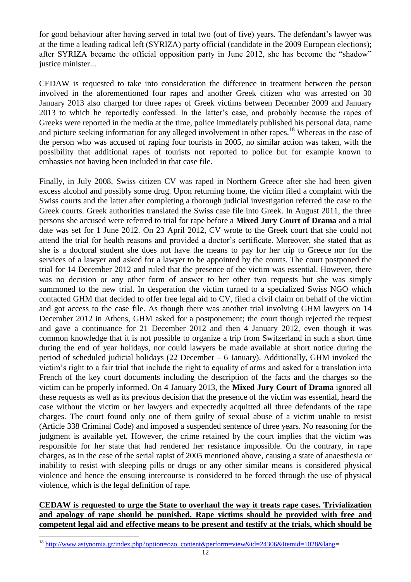for good behaviour after having served in total two (out of five) years. The defendant's lawyer was at the time a leading radical left (SYRIZA) party official (candidate in the 2009 European elections); after SYRIZA became the official opposition party in June 2012, she has become the "shadow" justice minister...

CEDAW is requested to take into consideration the difference in treatment between the person involved in the aforementioned four rapes and another Greek citizen who was arrested on 30 January 2013 also charged for three rapes of Greek victims between December 2009 and January 2013 to which he reportedly confessed. In the latter's case, and probably because the rapes of Greeks were reported in the media at the time, police immediately published his personal data, name and picture seeking information for any alleged involvement in other rapes.<sup>18</sup> Whereas in the case of the person who was accused of raping four tourists in 2005, no similar action was taken, with the possibility that additional rapes of tourists not reported to police but for example known to embassies not having been included in that case file.

Finally, in July 2008, Swiss citizen CV was raped in Northern Greece after she had been given excess alcohol and possibly some drug. Upon returning home, the victim filed a complaint with the Swiss courts and the latter after completing a thorough judicial investigation referred the case to the Greek courts. Greek authorities translated the Swiss case file into Greek. In August 2011, the three persons she accused were referred to trial for rape before a **Mixed Jury Court of Drama** and a trial date was set for 1 June 2012. On 23 April 2012, CV wrote to the Greek court that she could not attend the trial for health reasons and provided a doctor's certificate. Moreover, she stated that as she is a doctoral student she does not have the means to pay for her trip to Greece nor for the services of a lawyer and asked for a lawyer to be appointed by the courts. The court postponed the trial for 14 December 2012 and ruled that the presence of the victim was essential. However, there was no decision or any other form of answer to her other two requests but she was simply summoned to the new trial. In desperation the victim turned to a specialized Swiss NGO which contacted GHM that decided to offer free legal aid to CV, filed a civil claim on behalf of the victim and got access to the case file. As though there was another trial involving GHM lawyers on 14 December 2012 in Athens, GHM asked for a postponement; the court though rejected the request and gave a continuance for 21 December 2012 and then 4 January 2012, even though it was common knowledge that it is not possible to organize a trip from Switzerland in such a short time during the end of year holidays, nor could lawyers be made available at short notice during the period of scheduled judicial holidays (22 December – 6 January). Additionally, GHM invoked the victim's right to a fair trial that include the right to equality of arms and asked for a translation into French of the key court documents including the description of the facts and the charges so the victim can be properly informed. On 4 January 2013, the **Mixed Jury Court of Drama** ignored all these requests as well as its previous decision that the presence of the victim was essential, heard the case without the victim or her lawyers and expectedly acquitted all three defendants of the rape charges. The court found only one of them guilty of sexual abuse of a victim unable to resist (Article 338 Criminal Code) and imposed a suspended sentence of three years. No reasoning for the judgment is available yet. However, the crime retained by the court implies that the victim was responsible for her state that had rendered her resistance impossible. On the contrary, in rape charges, as in the case of the serial rapist of 2005 mentioned above, causing a state of anaesthesia or inability to resist with sleeping pills or drugs or any other similar means is considered physical violence and hence the ensuing intercourse is considered to be forced through the use of physical violence, which is the legal definition of rape.

# **CEDAW is requested to urge the State to overhaul the way it treats rape cases. Trivialization and apology of rape should be punished. Rape victims should be provided with free and competent legal aid and effective means to be present and testify at the trials, which should be**

<sup>&</sup>lt;sup>18</sup> [http://www.astynomia.gr/index.php?option=ozo\\_content&perform=view&id=24306&Itemid=1028&lang=](http://www.astynomia.gr/index.php?option=ozo_content&perform=view&id=24306&Itemid=1028&lang)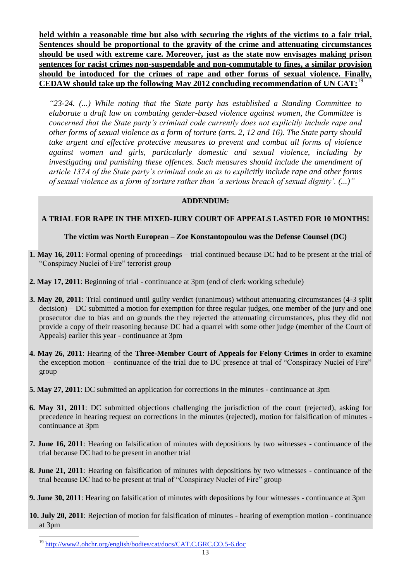**held within a reasonable time but also with securing the rights of the victims to a fair trial. Sentences should be proportional to the gravity of the crime and attenuating circumstances should be used with extreme care. Moreover, just as the state now envisages making prison sentences for racist crimes non-suspendable and non-commutable to fines, a similar provision should be intoduced for the crimes of rape and other forms of sexual violence. Finally, CEDAW should take up the following May 2012 concluding recommendation of UN CAT:**<sup>19</sup> I.

*"23-24. (...) While noting that the State party has established a Standing Committee to elaborate a draft law on combating gender-based violence against women, the Committee is concerned that the State party"s criminal code currently does not explicitly include rape and other forms of sexual violence as a form of torture (arts. 2, 12 and 16). The State party should take urgent and effective protective measures to prevent and combat all forms of violence against women and girls, particularly domestic and sexual violence, including by investigating and punishing these offences. Such measures should include the amendment of article 137A of the State party"s criminal code so as to explicitly include rape and other forms of sexual violence as a form of torture rather than "a serious breach of sexual dignity". (...)"*

#### **ADDENDUM:**

#### **A TRIAL FOR RAPE IN THE MIXED-JURY COURT OF APPEALS LASTED FOR 10 MONTHS!**

#### **The victim was North European – Zoe Konstantopoulou was the Defense Counsel (DC)**

- **1. May 16, 2011**: Formal opening of proceedings trial continued because DC had to be present at the trial of "Conspiracy Nuclei of Fire" terrorist group
- **2. May 17, 2011**: Beginning of trial continuance at 3pm (end of clerk working schedule)
- **3. May 20, 2011**: Trial continued until guilty verdict (unanimous) without attenuating circumstances (4-3 split decision) – DC submitted a motion for exemption for three regular judges, one member of the jury and one prosecutor due to bias and on grounds the they rejected the attenuating circumstances, plus they did not provide a copy of their reasoning because DC had a quarrel with some other judge (member of the Court of Appeals) earlier this year - continuance at 3pm
- **4. May 26, 2011**: Hearing of the **Three-Member Court of Appeals for Felony Crimes** in order to examine the exception motion – continuance of the trial due to DC presence at trial of "Conspiracy Nuclei of Fire" group
- **5. May 27, 2011**: DC submitted an application for corrections in the minutes continuance at 3pm
- **6. May 31, 2011**: DC submitted objections challenging the jurisdiction of the court (rejected), asking for precedence in hearing request on corrections in the minutes (rejected), motion for falsification of minutes continuance at 3pm
- **7. June 16, 2011**: Hearing on falsification of minutes with depositions by two witnesses continuance of the trial because DC had to be present in another trial
- **8. June 21, 2011**: Hearing on falsification of minutes with depositions by two witnesses continuance of the trial because DC had to be present at trial of "Conspiracy Nuclei of Fire" group
- **9. June 30, 2011**: Hearing on falsification of minutes with depositions by four witnesses continuance at 3pm
- **10. July 20, 2011**: Rejection of motion for falsification of minutes hearing of exemption motion continuance at 3pm

<sup>&</sup>lt;sup>19</sup> <http://www2.ohchr.org/english/bodies/cat/docs/CAT.C.GRC.CO.5-6.doc>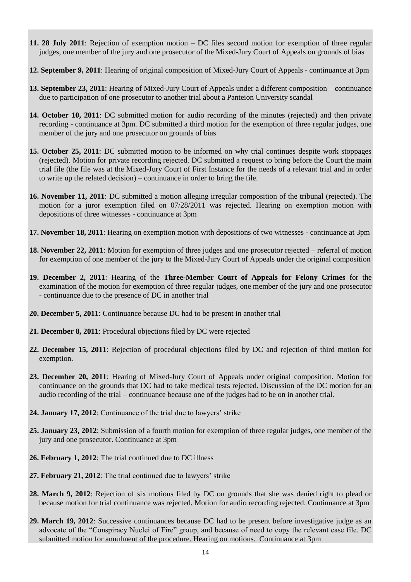- **11. 28 July 2011**: Rejection of exemption motion DC files second motion for exemption of three regular judges, one member of the jury and one prosecutor of the Mixed-Jury Court of Appeals on grounds of bias
- **12. September 9, 2011**: Hearing of original composition of Mixed-Jury Court of Appeals continuance at 3pm
- **13. September 23, 2011**: Hearing of Mixed-Jury Court of Appeals under a different composition continuance due to participation of one prosecutor to another trial about a Panteion University scandal
- **14. October 10, 2011**: DC submitted motion for audio recording of the minutes (rejected) and then private recording - continuance at 3pm. DC submitted a third motion for the exemption of three regular judges, one member of the jury and one prosecutor on grounds of bias
- **15. October 25, 2011**: DC submitted motion to be informed on why trial continues despite work stoppages (rejected). Motion for private recording rejected. DC submitted a request to bring before the Court the main trial file (the file was at the Mixed-Jury Court of First Instance for the needs of a relevant trial and in order to write up the related decision) – continuance in order to bring the file.
- **16. November 11, 2011**: DC submitted a motion alleging irregular composition of the tribunal (rejected). The motion for a juror exemption filed on 07/28/2011 was rejected. Hearing on exemption motion with depositions of three witnesses - continuance at 3pm
- **17. November 18, 2011**: Hearing on exemption motion with depositions of two witnesses continuance at 3pm
- **18. November 22, 2011**: Motion for exemption of three judges and one prosecutor rejected referral of motion for exemption of one member of the jury to the Mixed-Jury Court of Appeals under the original composition
- **19. December 2, 2011**: Hearing of the **Three-Member Court of Appeals for Felony Crimes** for the examination of the motion for exemption of three regular judges, one member of the jury and one prosecutor - continuance due to the presence of DC in another trial
- **20. December 5, 2011**: Continuance because DC had to be present in another trial
- **21. December 8, 2011**: Procedural objections filed by DC were rejected
- **22. December 15, 2011**: Rejection of procedural objections filed by DC and rejection of third motion for exemption.
- **23. December 20, 2011**: Hearing of Mixed-Jury Court of Appeals under original composition. Motion for continuance on the grounds that DC had to take medical tests rejected. Discussion of the DC motion for an audio recording of the trial – continuance because one of the judges had to be on in another trial.
- **24. January 17, 2012**: Continuance of the trial due to lawyers' strike
- **25. January 23, 2012**: Submission of a fourth motion for exemption of three regular judges, one member of the jury and one prosecutor. Continuance at 3pm
- **26. February 1, 2012**: The trial continued due to DC illness
- **27. February 21, 2012**: The trial continued due to lawyers' strike
- **28. March 9, 2012**: Rejection of six motions filed by DC on grounds that she was denied right to plead or because motion for trial continuance was rejected. Motion for audio recording rejected. Continuance at 3pm
- **29. March 19, 2012**: Successive continuances because DC had to be present before investigative judge as an advocate of the "Conspiracy Nuclei of Fire" group, and because of need to copy the relevant case file. DC submitted motion for annulment of the procedure. Hearing on motions. Continuance at 3pm